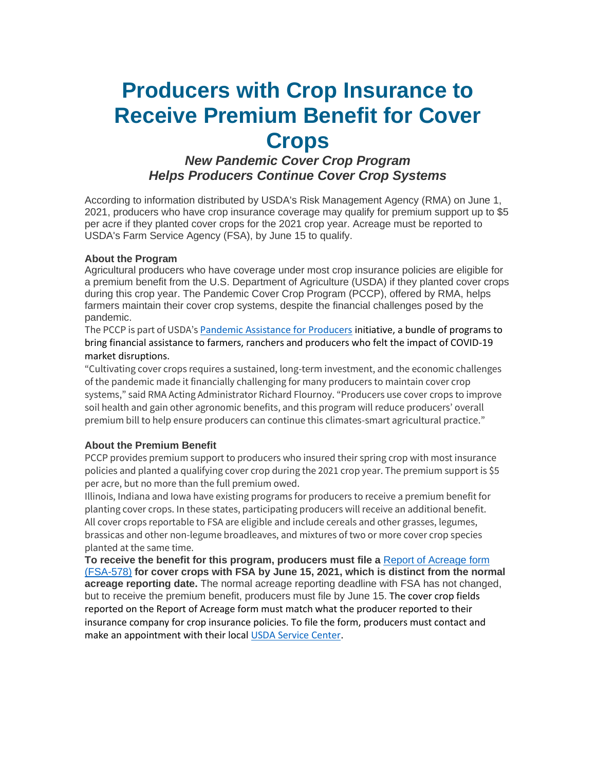# **Producers with Crop Insurance to Receive Premium Benefit for Cover Crops**

## *New Pandemic Cover Crop Program Helps Producers Continue Cover Crop Systems*

According to information distributed by USDA's Risk Management Agency (RMA) on June 1, 2021, producers who have crop insurance coverage may qualify for premium support up to \$5 per acre if they planted cover crops for the 2021 crop year. Acreage must be reported to USDA's Farm Service Agency (FSA), by June 15 to qualify.

#### **About the Program**

Agricultural producers who have coverage under most crop insurance policies are eligible for a premium benefit from the U.S. Department of Agriculture (USDA) if they planted cover crops during this crop year. The Pandemic Cover Crop Program (PCCP), offered by RMA, helps farmers maintain their cover crop systems, despite the financial challenges posed by the pandemic.

The PCCP is part of USDA's [Pandemic Assistance for Producers](https://t.e2ma.net/click/x5curk/x1xfbes/t6mfmrc) initiative, a bundle of programs to bring financial assistance to farmers, ranchers and producers who felt the impact of COVID-19 market disruptions.

"Cultivating cover crops requires a sustained, long-term investment, and the economic challenges of the pandemic made it financially challenging for many producers to maintain cover crop systems," said RMA Acting Administrator Richard Flournoy. "Producers use cover crops to improve soil health and gain other agronomic benefits, and this program will reduce producers' overall premium bill to help ensure producers can continue this climates-smart agricultural practice."

#### **About the Premium Benefit**

PCCP provides premium support to producers who insured their spring crop with most insurance policies and planted a qualifying cover crop during the 2021 crop year. The premium support is \$5 per acre, but no more than the full premium owed.

Illinois, Indiana and Iowa have existing programs for producers to receive a premium benefit for planting cover crops. In these states, participating producers will receive an additional benefit. All cover crops reportable to FSA are eligible and include cereals and other grasses, legumes, brassicas and other non-legume broadleaves, and mixtures of two or more cover crop species planted at the same time.

**To receive the benefit for this program, producers must file a** [Report of Acreage form](https://t.e2ma.net/click/x5curk/x1xfbes/9ynfmrc)  [\(FSA-578\)](https://t.e2ma.net/click/x5curk/x1xfbes/9ynfmrc) **for cover crops with FSA by June 15, 2021, which is distinct from the normal acreage reporting date.** The normal acreage reporting deadline with FSA has not changed, but to receive the premium benefit, producers must file by June 15. The cover crop fields reported on the Report of Acreage form must match what the producer reported to their insurance company for crop insurance policies. To file the form, producers must contact and make an appointment with their local [USDA Service Center.](https://t.e2ma.net/click/x5curk/x1xfbes/profmrc)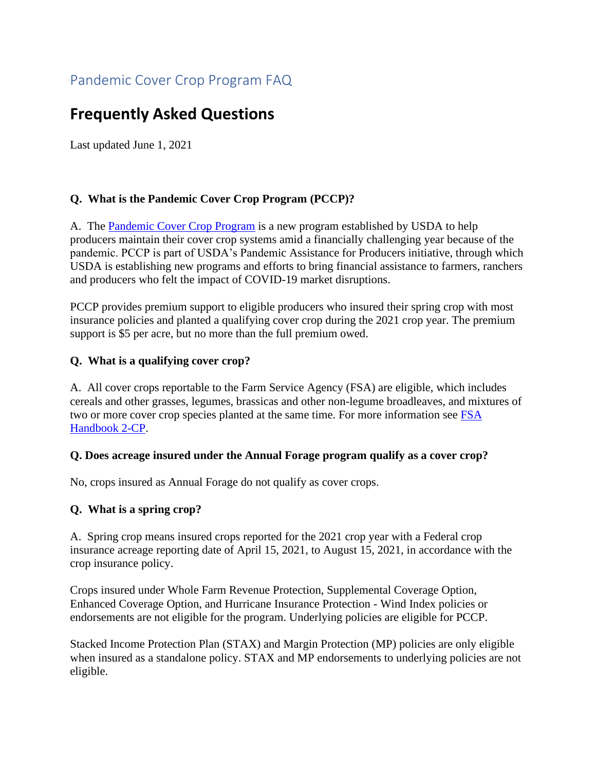# **Frequently Asked Questions**

Last updated June 1, 2021

### **Q. What is the Pandemic Cover Crop Program (PCCP)?**

A. The [Pandemic Cover Crop Program](https://www.farmers.gov/node/29180) is a new program established by USDA to help producers maintain their cover crop systems amid a financially challenging year because of the pandemic. PCCP is part of USDA's Pandemic Assistance for Producers initiative, through which USDA is establishing new programs and efforts to bring financial assistance to farmers, ranchers and producers who felt the impact of COVID-19 market disruptions.

PCCP provides premium support to eligible producers who insured their spring crop with most insurance policies and planted a qualifying cover crop during the 2021 crop year. The premium support is \$5 per acre, but no more than the full premium owed.

#### **Q. What is a qualifying cover crop?**

A. All cover crops reportable to the Farm Service Agency (FSA) are eligible, which includes cereals and other grasses, legumes, brassicas and other non-legume broadleaves, and mixtures of two or more cover crop species planted at the same time. For more information see [FSA](https://www.fsa.usda.gov/Internet/FSA_File/2-cp_r16_a12.pdf)  [Handbook 2-CP.](https://www.fsa.usda.gov/Internet/FSA_File/2-cp_r16_a12.pdf)

#### **Q. Does acreage insured under the Annual Forage program qualify as a cover crop?**

No, crops insured as Annual Forage do not qualify as cover crops.

### **Q. What is a spring crop?**

A. Spring crop means insured crops reported for the 2021 crop year with a Federal crop insurance acreage reporting date of April 15, 2021, to August 15, 2021, in accordance with the crop insurance policy.

Crops insured under Whole Farm Revenue Protection, Supplemental Coverage Option, Enhanced Coverage Option, and Hurricane Insurance Protection - Wind Index policies or endorsements are not eligible for the program. Underlying policies are eligible for PCCP.

Stacked Income Protection Plan (STAX) and Margin Protection (MP) policies are only eligible when insured as a standalone policy. STAX and MP endorsements to underlying policies are not eligible.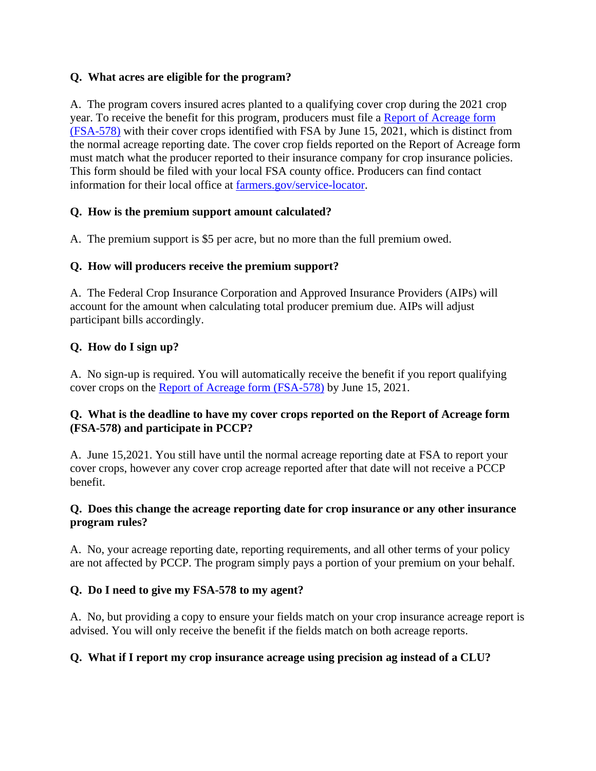#### **Q. What acres are eligible for the program?**

A. The program covers insured acres planted to a qualifying cover crop during the 2021 crop year. To receive the benefit for this program, producers must file a [Report of Acreage form](https://www.farmers.gov/sites/default/files/2021-05/fsa0578manual-190822v01-uni.pdf)  [\(FSA-578\)](https://www.farmers.gov/sites/default/files/2021-05/fsa0578manual-190822v01-uni.pdf) with their cover crops identified with FSA by June 15, 2021, which is distinct from the normal acreage reporting date. The cover crop fields reported on the Report of Acreage form must match what the producer reported to their insurance company for crop insurance policies. This form should be filed with your local FSA county office. Producers can find contact information for their local office at [farmers.gov/service-locator.](http://www.farmers.gov/service-locator)

#### **Q. How is the premium support amount calculated?**

A. The premium support is \$5 per acre, but no more than the full premium owed.

#### **Q. How will producers receive the premium support?**

A. The Federal Crop Insurance Corporation and Approved Insurance Providers (AIPs) will account for the amount when calculating total producer premium due. AIPs will adjust participant bills accordingly.

#### **Q. How do I sign up?**

A. No sign-up is required. You will automatically receive the benefit if you report qualifying cover crops on the [Report of Acreage form \(FSA-578\)](https://www.farmers.gov/sites/default/files/2021-05/fsa0578manual-190822v01-uni.pdf) by June 15, 2021.

#### **Q. What is the deadline to have my cover crops reported on the Report of Acreage form (FSA-578) and participate in PCCP?**

A. June 15,2021. You still have until the normal acreage reporting date at FSA to report your cover crops, however any cover crop acreage reported after that date will not receive a PCCP benefit.

#### **Q. Does this change the acreage reporting date for crop insurance or any other insurance program rules?**

A. No, your acreage reporting date, reporting requirements, and all other terms of your policy are not affected by PCCP. The program simply pays a portion of your premium on your behalf.

### **Q. Do I need to give my FSA-578 to my agent?**

A. No, but providing a copy to ensure your fields match on your crop insurance acreage report is advised. You will only receive the benefit if the fields match on both acreage reports.

#### **Q. What if I report my crop insurance acreage using precision ag instead of a CLU?**